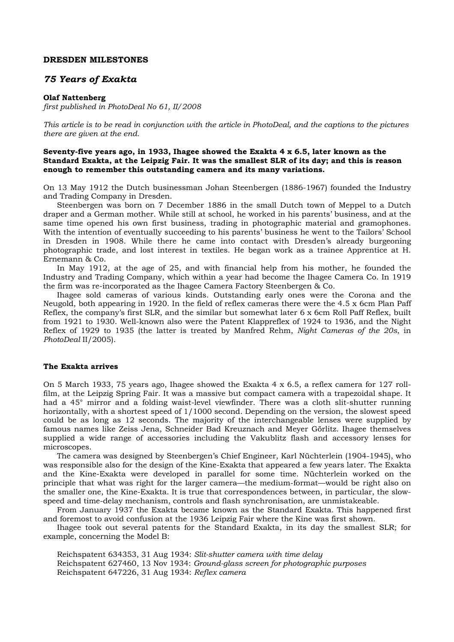### **DRESDEN MILESTONES**

# *75 Years of Exakta*

#### **Olaf Nattenberg**

*first published in PhotoDeal No 61, II/2008* 

*This article is to be read in conjunction with the article in PhotoDeal, and the captions to the pictures there are given at the end.*

### **Seventy-five years ago, in 1933, Ihagee showed the Exakta 4 x 6.5, later known as the Standard Exakta, at the Leipzig Fair. It was the smallest SLR of its day; and this is reason enough to remember this outstanding camera and its many variations.**

On 13 May 1912 the Dutch businessman Johan Steenbergen (1886-1967) founded the Industry and Trading Company in Dresden.

Steenbergen was born on 7 December 1886 in the small Dutch town of Meppel to a Dutch draper and a German mother. While still at school, he worked in his parents' business, and at the same time opened his own first business, trading in photographic material and gramophones. With the intention of eventually succeeding to his parents' business he went to the Tailors' School in Dresden in 1908. While there he came into contact with Dresden's already burgeoning photographic trade, and lost interest in textiles. He began work as a trainee Apprentice at H. Ernemann & Co.

In May 1912, at the age of 25, and with financial help from his mother, he founded the Industry and Trading Company, which within a year had become the Ihagee Camera Co. In 1919 the firm was re-incorporated as the Ihagee Camera Factory Steenbergen & Co.

Ihagee sold cameras of various kinds. Outstanding early ones were the Corona and the Neugold, both appearing in 1920. In the field of reflex cameras there were the 4.5 x 6cm Plan Paff Reflex, the company's first SLR, and the similar but somewhat later 6 x 6cm Roll Paff Reflex, built from 1921 to 1930. Well-known also were the Patent Klappreflex of 1924 to 1936, and the Night Reflex of 1929 to 1935 (the latter is treated by Manfred Rehm, *Night Cameras of the 20s*, in *PhotoDeal* II/2005).

# **The Exakta arrives**

On 5 March 1933, 75 years ago, Ihagee showed the Exakta 4 x 6.5, a reflex camera for 127 rollfilm, at the Leipzig Spring Fair. It was a massive but compact camera with a trapezoidal shape. It had a 45° mirror and a folding waist-level viewfinder. There was a cloth slit-shutter running horizontally, with a shortest speed of 1/1000 second. Depending on the version, the slowest speed could be as long as 12 seconds. The majority of the interchangeable lenses were supplied by famous names like Zeiss Jena, Schneider Bad Kreuznach and Meyer Görlitz. Ihagee themselves supplied a wide range of accessories including the Vakublitz flash and accessory lenses for microscopes.

The camera was designed by Steenbergen's Chief Engineer, Karl Nüchterlein (1904-1945), who was responsible also for the design of the Kine-Exakta that appeared a few years later. The Exakta and the Kine-Exakta were developed in parallel for some time. Nüchterlein worked on the principle that what was right for the larger camera—the medium-format—would be right also on the smaller one, the Kine-Exakta. It is true that correspondences between, in particular, the slowspeed and time-delay mechanism, controls and flash synchronisation, are unmistakeable.

From January 1937 the Exakta became known as the Standard Exakta. This happened first and foremost to avoid confusion at the 1936 Leipzig Fair where the Kine was first shown.

Ihagee took out several patents for the Standard Exakta, in its day the smallest SLR; for example, concerning the Model B:

Reichspatent 634353, 31 Aug 1934: *Slit-shutter camera with time delay* Reichspatent 627460, 13 Nov 1934: *Ground-glass screen for photographic purposes* Reichspatent 647226, 31 Aug 1934: *Reflex camera*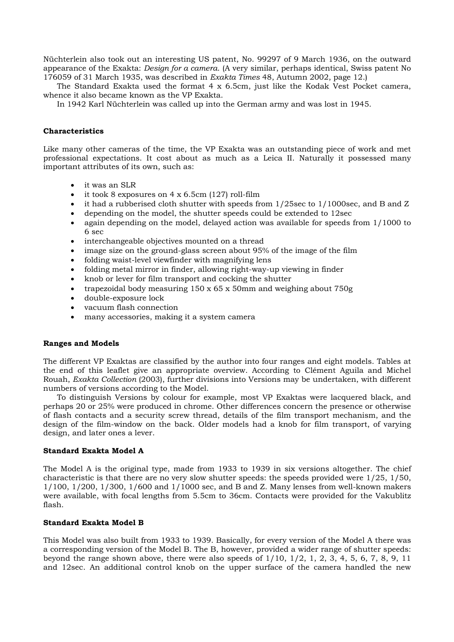Nüchterlein also took out an interesting US patent, No. 99297 of 9 March 1936, on the outward appearance of the Exakta: *Design for a camera*. (A very similar, perhaps identical, Swiss patent No 176059 of 31 March 1935, was described in *Exakta Times* 48, Autumn 2002, page 12.)

The Standard Exakta used the format  $4 \times 6.5$ cm, just like the Kodak Vest Pocket camera, whence it also became known as the VP Exakta.

In 1942 Karl Nüchterlein was called up into the German army and was lost in 1945.

### **Characteristics**

Like many other cameras of the time, the VP Exakta was an outstanding piece of work and met professional expectations. It cost about as much as a Leica II. Naturally it possessed many important attributes of its own, such as:

- it was an SLR
- it took 8 exposures on  $4 \times 6.5$ cm (127) roll-film
- it had a rubberised cloth shutter with speeds from  $1/25$ sec to  $1/1000$ sec, and B and Z
- depending on the model, the shutter speeds could be extended to 12sec
- again depending on the model, delayed action was available for speeds from 1/1000 to 6 sec
- interchangeable objectives mounted on a thread
- image size on the ground-glass screen about 95% of the image of the film
- folding waist-level viewfinder with magnifying lens
- folding metal mirror in finder, allowing right-way-up viewing in finder
- knob or lever for film transport and cocking the shutter
- trapezoidal body measuring 150 x 65 x 50mm and weighing about 750g
- double-exposure lock
- vacuum flash connection
- many accessories, making it a system camera

# **Ranges and Models**

The different VP Exaktas are classified by the author into four ranges and eight models. Tables at the end of this leaflet give an appropriate overview. According to Clément Aguila and Michel Rouah, *Exakta Collection* (2003), further divisions into Versions may be undertaken, with different numbers of versions according to the Model.

To distinguish Versions by colour for example, most VP Exaktas were lacquered black, and perhaps 20 or 25% were produced in chrome. Other differences concern the presence or otherwise of flash contacts and a security screw thread, details of the film transport mechanism, and the design of the film-window on the back. Older models had a knob for film transport, of varying design, and later ones a lever.

### **Standard Exakta Model A**

The Model A is the original type, made from 1933 to 1939 in six versions altogether. The chief characteristic is that there are no very slow shutter speeds: the speeds provided were  $1/25$ ,  $1/50$ , 1/100, 1/200, 1/300, 1/600 and 1/1000 sec, and B and Z. Many lenses from well-known makers were available, with focal lengths from 5.5cm to 36cm. Contacts were provided for the Vakublitz flash.

# **Standard Exakta Model B**

This Model was also built from 1933 to 1939. Basically, for every version of the Model A there was a corresponding version of the Model B. The B, however, provided a wider range of shutter speeds: beyond the range shown above, there were also speeds of  $1/10$ ,  $1/2$ ,  $1$ ,  $2$ ,  $3$ ,  $4$ ,  $5$ ,  $6$ ,  $7$ ,  $8$ ,  $9$ ,  $11$ and 12sec. An additional control knob on the upper surface of the camera handled the new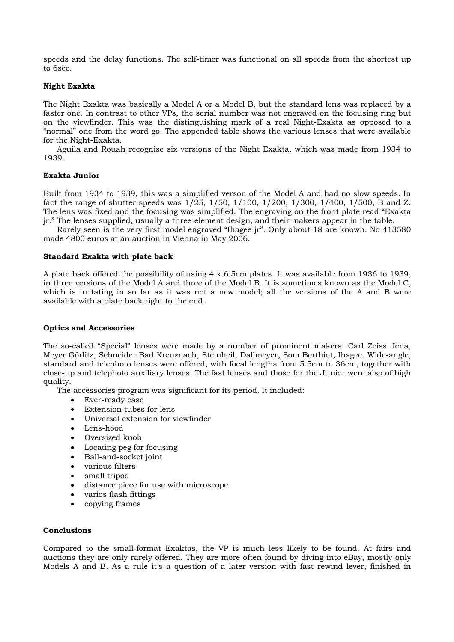speeds and the delay functions. The self-timer was functional on all speeds from the shortest up to 6sec.

# **Night Exakta**

The Night Exakta was basically a Model A or a Model B, but the standard lens was replaced by a faster one. In contrast to other VPs, the serial number was not engraved on the focusing ring but on the viewfinder. This was the distinguishing mark of a real Night-Exakta as opposed to a "normal" one from the word go. The appended table shows the various lenses that were available for the Night-Exakta.

Aguila and Rouah recognise six versions of the Night Exakta, which was made from 1934 to 1939.

# **Exakta Junior**

Built from 1934 to 1939, this was a simplified verson of the Model A and had no slow speeds. In fact the range of shutter speeds was 1/25, 1/50, 1/100, 1/200, 1/300, 1/400, 1/500, B and Z. The lens was fixed and the focusing was simplified. The engraving on the front plate read "Exakta jr." The lenses supplied, usually a three-element design, and their makers appear in the table.

Rarely seen is the very first model engraved "Ihagee jr". Only about 18 are known. No 413580 made 4800 euros at an auction in Vienna in May 2006.

# **Standard Exakta with plate back**

A plate back offered the possibility of using 4 x 6.5cm plates. It was available from 1936 to 1939, in three versions of the Model A and three of the Model B. It is sometimes known as the Model C, which is irritating in so far as it was not a new model; all the versions of the A and B were available with a plate back right to the end.

# **Optics and Accessories**

The so-called "Special" lenses were made by a number of prominent makers: Carl Zeiss Jena, Meyer Görlitz, Schneider Bad Kreuznach, Steinheil, Dallmeyer, Som Berthiot, Ihagee. Wide-angle, standard and telephoto lenses were offered, with focal lengths from 5.5cm to 36cm, together with close-up and telephoto auxiliary lenses. The fast lenses and those for the Junior were also of high quality.

The accessories program was significant for its period. It included:

- Ever-ready case
- Extension tubes for lens
- Universal extension for viewfinder
- Lens-hood
- Oversized knob
- Locating peg for focusing
- Ball-and-socket joint
- various filters
- small tripod
- distance piece for use with microscope
- varios flash fittings
- copying frames

# **Conclusions**

Compared to the small-format Exaktas, the VP is much less likely to be found. At fairs and auctions they are only rarely offered. They are more often found by diving into eBay, mostly only Models A and B. As a rule it's a question of a later version with fast rewind lever, finished in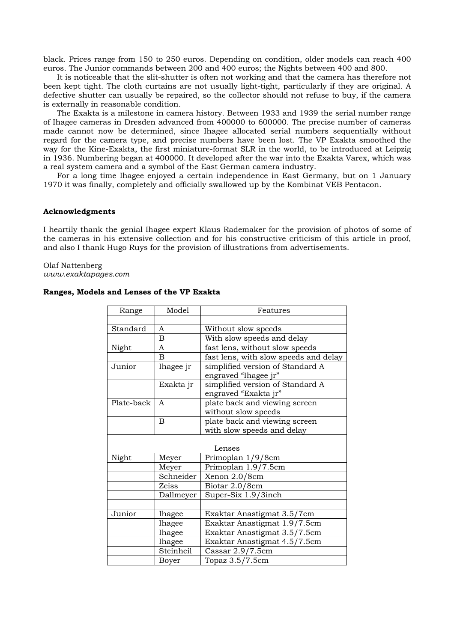black. Prices range from 150 to 250 euros. Depending on condition, older models can reach 400 euros. The Junior commands between 200 and 400 euros; the Nights between 400 and 800.

It is noticeable that the slit-shutter is often not working and that the camera has therefore not been kept tight. The cloth curtains are not usually light-tight, particularly if they are original. A defective shutter can usually be repaired, so the collector should not refuse to buy, if the camera is externally in reasonable condition.

The Exakta is a milestone in camera history. Between 1933 and 1939 the serial number range of Ihagee cameras in Dresden advanced from 400000 to 600000. The precise number of cameras made cannot now be determined, since Ihagee allocated serial numbers sequentially without regard for the camera type, and precise numbers have been lost. The VP Exakta smoothed the way for the Kine-Exakta, the first miniature-format SLR in the world, to be introduced at Leipzig in 1936. Numbering began at 400000. It developed after the war into the Exakta Varex, which was a real system camera and a symbol of the East German camera industry.

For a long time Ihagee enjoyed a certain independence in East Germany, but on 1 January 1970 it was finally, completely and officially swallowed up by the Kombinat VEB Pentacon.

### **Acknowledgments**

I heartily thank the genial Ihagee expert Klaus Rademaker for the provision of photos of some of the cameras in his extensive collection and for his constructive criticism of this article in proof, and also I thank Hugo Ruys for the provision of illustrations from advertisements.

Olaf Nattenberg *www.exaktapages.com* 

### **Ranges, Models and Lenses of the VP Exakta**

| Range      | Model          | Features                              |
|------------|----------------|---------------------------------------|
|            |                |                                       |
| Standard   | A              | Without slow speeds                   |
|            | B              | With slow speeds and delay            |
| Night      | A              | fast lens, without slow speeds        |
|            | $\overline{B}$ | fast lens, with slow speeds and delay |
| Junior     | Ihagee jr      | simplified version of Standard A      |
|            |                | engraved "Ihagee jr"                  |
|            | Exakta jr      | simplified version of Standard A      |
|            |                | engraved "Exakta jr"                  |
| Plate-back | A              | plate back and viewing screen         |
|            |                | without slow speeds                   |
|            | B              | plate back and viewing screen         |
|            |                | with slow speeds and delay            |
|            |                |                                       |
| Lenses     |                |                                       |
| Night      | Meyer          | Primoplan 1/9/8cm                     |
|            | Meyer          | Primoplan 1.9/7.5cm                   |
|            | Schneider      | Xenon 2.0/8cm                         |
|            | Zeiss          | Biotar 2.0/8cm                        |
|            | Dallmeyer      | Super-Six 1.9/3inch                   |
|            |                |                                       |
| Junior     | Ihagee         | Exaktar Anastigmat 3.5/7cm            |
|            | Ihagee         | Exaktar Anastigmat 1.9/7.5cm          |
|            | Ihagee         | Exaktar Anastigmat 3.5/7.5cm          |
|            | Ihagee         | Exaktar Anastigmat 4.5/7.5cm          |
|            | Steinheil      | Cassar $2.9/7.5cm$                    |
|            | Boyer          | Topaz 3.5/7.5cm                       |